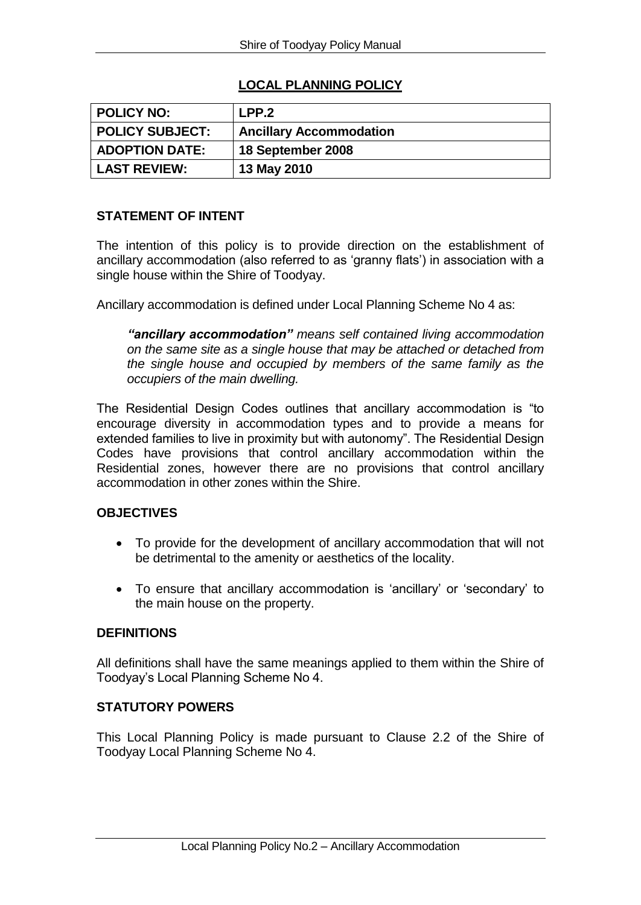# **LOCAL PLANNING POLICY**

| <b>POLICY NO:</b>      | LPP.2                          |
|------------------------|--------------------------------|
| <b>POLICY SUBJECT:</b> | <b>Ancillary Accommodation</b> |
| <b>ADOPTION DATE:</b>  | 18 September 2008              |
| <b>LAST REVIEW:</b>    | 13 May 2010                    |

# **STATEMENT OF INTENT**

The intention of this policy is to provide direction on the establishment of ancillary accommodation (also referred to as 'granny flats') in association with a single house within the Shire of Toodyay.

Ancillary accommodation is defined under Local Planning Scheme No 4 as:

*"ancillary accommodation" means self contained living accommodation on the same site as a single house that may be attached or detached from the single house and occupied by members of the same family as the occupiers of the main dwelling.*

The Residential Design Codes outlines that ancillary accommodation is "to encourage diversity in accommodation types and to provide a means for extended families to live in proximity but with autonomy". The Residential Design Codes have provisions that control ancillary accommodation within the Residential zones, however there are no provisions that control ancillary accommodation in other zones within the Shire.

#### **OBJECTIVES**

- To provide for the development of ancillary accommodation that will not be detrimental to the amenity or aesthetics of the locality.
- To ensure that ancillary accommodation is 'ancillary' or 'secondary' to the main house on the property.

#### **DEFINITIONS**

All definitions shall have the same meanings applied to them within the Shire of Toodyay's Local Planning Scheme No 4.

#### **STATUTORY POWERS**

This Local Planning Policy is made pursuant to Clause 2.2 of the Shire of Toodyay Local Planning Scheme No 4.